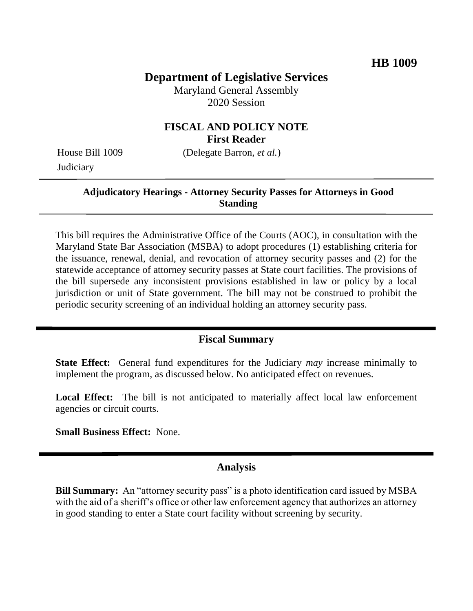# **Department of Legislative Services**

Maryland General Assembly 2020 Session

### **FISCAL AND POLICY NOTE First Reader**

**Judiciary** 

House Bill 1009 (Delegate Barron, *et al.*)

### **Adjudicatory Hearings - Attorney Security Passes for Attorneys in Good Standing**

This bill requires the Administrative Office of the Courts (AOC), in consultation with the Maryland State Bar Association (MSBA) to adopt procedures (1) establishing criteria for the issuance, renewal, denial, and revocation of attorney security passes and (2) for the statewide acceptance of attorney security passes at State court facilities. The provisions of the bill supersede any inconsistent provisions established in law or policy by a local jurisdiction or unit of State government. The bill may not be construed to prohibit the periodic security screening of an individual holding an attorney security pass.

#### **Fiscal Summary**

**State Effect:** General fund expenditures for the Judiciary *may* increase minimally to implement the program, as discussed below. No anticipated effect on revenues.

Local Effect: The bill is not anticipated to materially affect local law enforcement agencies or circuit courts.

**Small Business Effect:** None.

#### **Analysis**

**Bill Summary:** An "attorney security pass" is a photo identification card issued by MSBA with the aid of a sheriff's office or other law enforcement agency that authorizes an attorney in good standing to enter a State court facility without screening by security.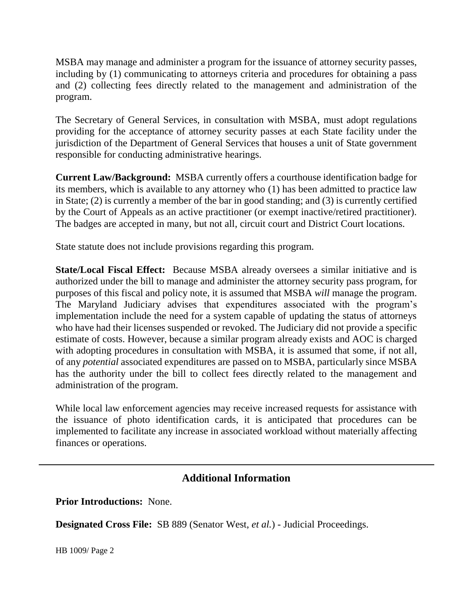MSBA may manage and administer a program for the issuance of attorney security passes, including by (1) communicating to attorneys criteria and procedures for obtaining a pass and (2) collecting fees directly related to the management and administration of the program.

The Secretary of General Services, in consultation with MSBA, must adopt regulations providing for the acceptance of attorney security passes at each State facility under the jurisdiction of the Department of General Services that houses a unit of State government responsible for conducting administrative hearings.

**Current Law/Background:** MSBA currently offers a courthouse identification badge for its members, which is available to any attorney who (1) has been admitted to practice law in State; (2) is currently a member of the bar in good standing; and (3) is currently certified by the Court of Appeals as an active practitioner (or exempt inactive/retired practitioner). The badges are accepted in many, but not all, circuit court and District Court locations.

State statute does not include provisions regarding this program.

**State/Local Fiscal Effect:** Because MSBA already oversees a similar initiative and is authorized under the bill to manage and administer the attorney security pass program, for purposes of this fiscal and policy note, it is assumed that MSBA *will* manage the program. The Maryland Judiciary advises that expenditures associated with the program's implementation include the need for a system capable of updating the status of attorneys who have had their licenses suspended or revoked. The Judiciary did not provide a specific estimate of costs. However, because a similar program already exists and AOC is charged with adopting procedures in consultation with MSBA, it is assumed that some, if not all, of any *potential* associated expenditures are passed on to MSBA, particularly since MSBA has the authority under the bill to collect fees directly related to the management and administration of the program.

While local law enforcement agencies may receive increased requests for assistance with the issuance of photo identification cards, it is anticipated that procedures can be implemented to facilitate any increase in associated workload without materially affecting finances or operations.

# **Additional Information**

**Prior Introductions:** None.

**Designated Cross File:** SB 889 (Senator West, *et al.*) - Judicial Proceedings.